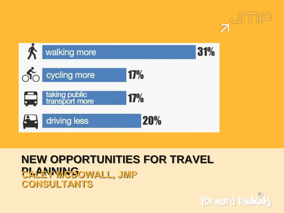



## **NEW OPPORTUNITIES FOR TRAVEL PLANNINGOWALL, JMP CONSULTANTS**

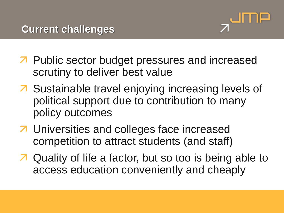

- **7** Public sector budget pressures and increased scrutiny to deliver best value
- Sustainable travel enjoying increasing levels of political support due to contribution to many policy outcomes
- **7** Universities and colleges face increased competition to attract students (and staff)
- **7** Quality of life a factor, but so too is being able to access education conveniently and cheaply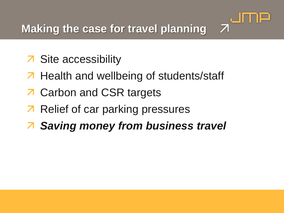$\overline{\mathcal{L}}$ 

- **7** Site accessibility
- **7** Health and wellbeing of students/staff
- **7** Carbon and CSR targets
- **7** Relief of car parking pressures
- *Saving money from business travel*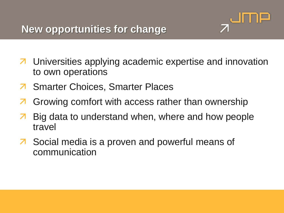

- **7** Universities applying academic expertise and innovation to own operations
- **7** Smarter Choices, Smarter Places
- **7** Growing comfort with access rather than ownership
- **Big data to understand when, where and how people** travel
- **7** Social media is a proven and powerful means of communication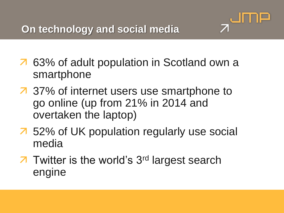

- 63% of adult population in Scotland own a smartphone
- 37% of internet users use smartphone to go online (up from 21% in 2014 and overtaken the laptop)
- 52% of UK population regularly use social media
- **7** Twitter is the world's 3<sup>rd</sup> largest search engine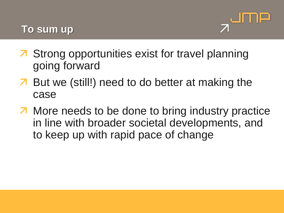

- Strong opportunities exist for travel planning going forward
- **7** But we (still!) need to do better at making the case
- **T** More needs to be done to bring industry practice in line with broader societal developments, and to keep up with rapid pace of change